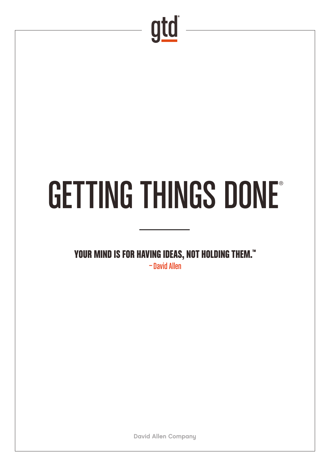

## GETTING THINGS DONE®

YOUR MIND IS FOR HAVING IDEAS, NOT HOLDING THEM.<sup>™</sup>

—David Allen

David Allen Company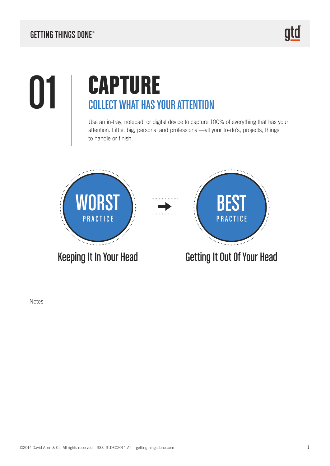#### **01 | CAPTURE** COLLECT WHAT HAS YOUR ATTENTION

Use an in-tray, notepad, or digital device to capture 100% of everything that has your attention. Little, big, personal and professional—all your to-do's, projects, things to handle or finish.

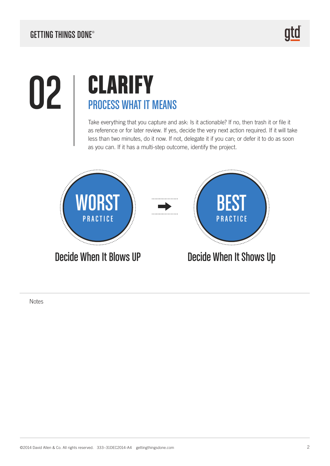#### **02 | CLARIFY**<br>PROCESS WHAT IT N PROCESS WHAT IT MEANS

Take everything that you capture and ask: Is it actionable? If no, then trash it or file it as reference or for later review. If yes, decide the very next action required. If it will take less than two minutes, do it now. If not, delegate it if you can; or defer it to do as soon as you can. If it has a multi-step outcome, identify the project.

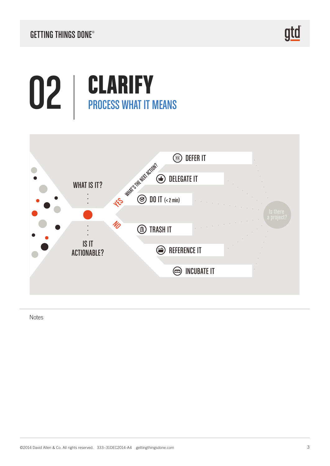<u>gtd</u>

### **02 | CLARIFY**<br>PROCESS WHAT IT N PROCESS WHAT IT MEANS

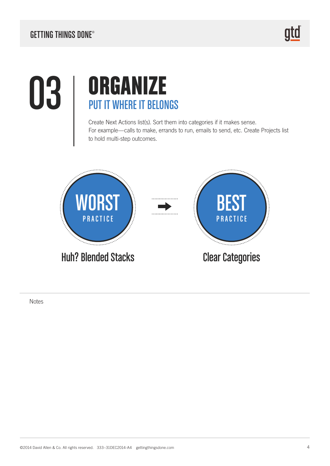#### GETTING THINGS DONE®

#### 03 | ORGANIZE PUT IT WHERE IT BELONGS

Create Next Actions list(s). Sort them into categories if it makes sense. For example—calls to make, errands to run, emails to send, etc. Create Projects list to hold multi-step outcomes.

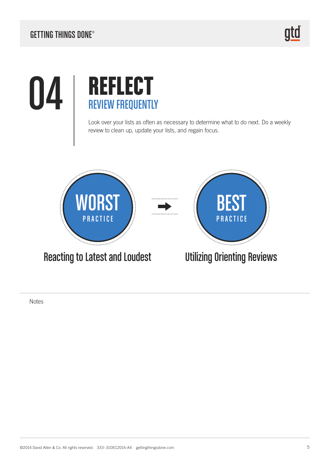## **04** REFLECT REVIEW FREQUENTLY

Look over your lists as often as necessary to determine what to do next. Do a weekly review to clean up, update your lists, and regain focus.

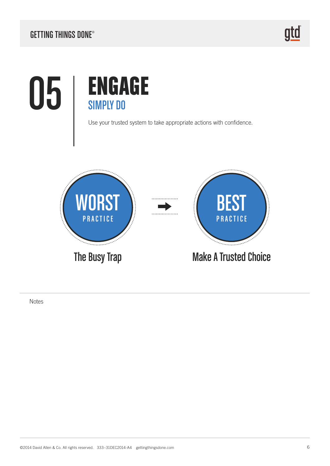# 05 | ENGAGE



Use your trusted system to take appropriate actions with confidence.